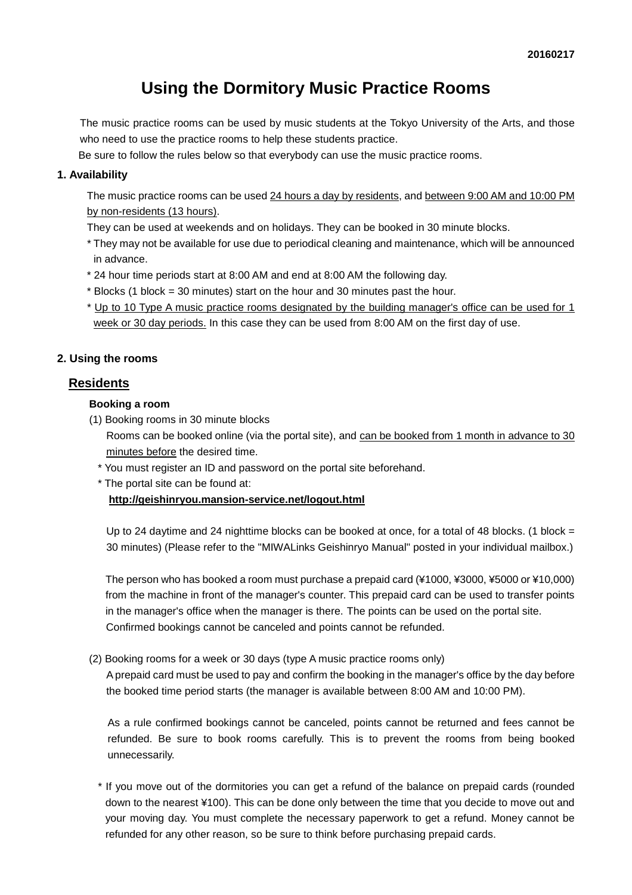# **Using the Dormitory Music Practice Rooms**

The music practice rooms can be used by music students at the Tokyo University of the Arts, and those who need to use the practice rooms to help these students practice.

Be sure to follow the rules below so that everybody can use the music practice rooms.

#### **1. Availability**

The music practice rooms can be used 24 hours a day by residents, and between 9:00 AM and 10:00 PM by non-residents (13 hours).

They can be used at weekends and on holidays. They can be booked in 30 minute blocks.

- \* They may not be available for use due to periodical cleaning and maintenance, which will be announced in advance.
- \* 24 hour time periods start at 8:00 AM and end at 8:00 AM the following day.
- \* Blocks (1 block = 30 minutes) start on the hour and 30 minutes past the hour.
- \* Up to 10 Type A music practice rooms designated by the building manager's office can be used for 1 week or 30 day periods. In this case they can be used from 8:00 AM on the first day of use.

#### **2. Using the rooms**

# **Residents**

#### **Booking a room**

(1) Booking rooms in 30 minute blocks

Rooms can be booked online (via the portal site), and can be booked from 1 month in advance to 30 minutes before the desired time.

- \* You must register an ID and password on the portal site beforehand.
- \* The portal site can be found at:

**<http://geishinryou.mansion-service.net/logout.html>**

Up to 24 daytime and 24 nighttime blocks can be booked at once, for a total of 48 blocks. (1 block  $=$ 30 minutes) (Please refer to the "MIWALinks Geishinryo Manual" posted in your individual mailbox.)

The person who has booked a room must purchase a prepaid card (¥1000, ¥3000, ¥5000 or ¥10,000) from the machine in front of the manager's counter. This prepaid card can be used to transfer points in the manager's office when the manager is there. The points can be used on the portal site. Confirmed bookings cannot be canceled and points cannot be refunded.

(2) Booking rooms for a week or 30 days (type A music practice rooms only)

A prepaid card must be used to pay and confirm the booking in the manager's office by the day before the booked time period starts (the manager is available between 8:00 AM and 10:00 PM).

As a rule confirmed bookings cannot be canceled, points cannot be returned and fees cannot be refunded. Be sure to book rooms carefully. This is to prevent the rooms from being booked unnecessarily.

\* If you move out of the dormitories you can get a refund of the balance on prepaid cards (rounded down to the nearest ¥100). This can be done only between the time that you decide to move out and your moving day. You must complete the necessary paperwork to get a refund. Money cannot be refunded for any other reason, so be sure to think before purchasing prepaid cards.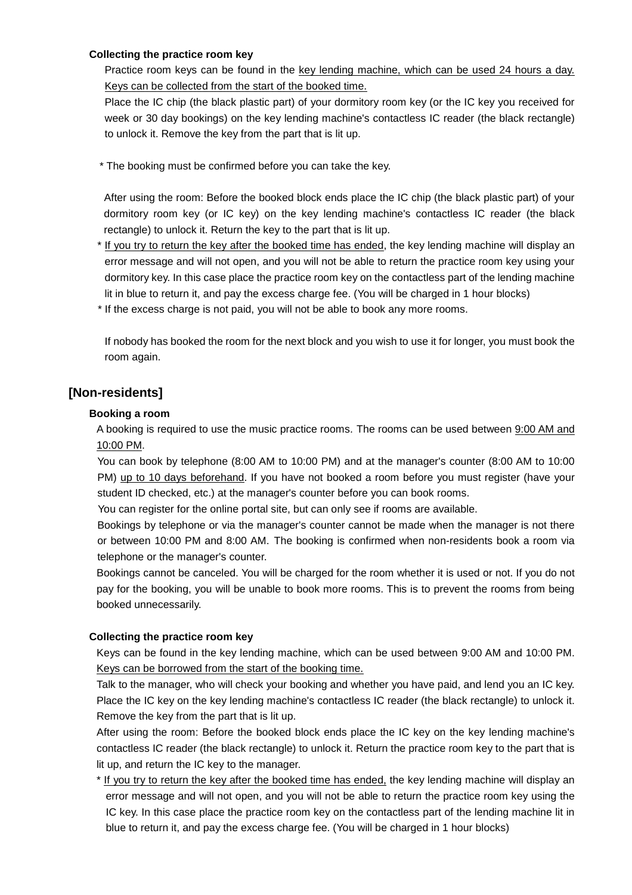#### **Collecting the practice room key**

Practice room keys can be found in the key lending machine, which can be used 24 hours a day. Keys can be collected from the start of the booked time.

Place the IC chip (the black plastic part) of your dormitory room key (or the IC key you received for week or 30 day bookings) on the key lending machine's contactless IC reader (the black rectangle) to unlock it. Remove the key from the part that is lit up.

\* The booking must be confirmed before you can take the key.

After using the room: Before the booked block ends place the IC chip (the black plastic part) of your dormitory room key (or IC key) on the key lending machine's contactless IC reader (the black rectangle) to unlock it. Return the key to the part that is lit up.

- \* If you try to return the key after the booked time has ended, the key lending machine will display an error message and will not open, and you will not be able to return the practice room key using your dormitory key. In this case place the practice room key on the contactless part of the lending machine lit in blue to return it, and pay the excess charge fee. (You will be charged in 1 hour blocks)
- \* If the excess charge is not paid, you will not be able to book any more rooms.

If nobody has booked the room for the next block and you wish to use it for longer, you must book the room again.

# **[Non-residents]**

## **Booking a room**

A booking is required to use the music practice rooms. The rooms can be used between 9:00 AM and 10:00 PM.

You can book by telephone (8:00 AM to 10:00 PM) and at the manager's counter (8:00 AM to 10:00 PM) up to 10 days beforehand. If you have not booked a room before you must register (have your student ID checked, etc.) at the manager's counter before you can book rooms.

You can register for the online portal site, but can only see if rooms are available.

Bookings by telephone or via the manager's counter cannot be made when the manager is not there or between 10:00 PM and 8:00 AM. The booking is confirmed when non-residents book a room via telephone or the manager's counter.

Bookings cannot be canceled. You will be charged for the room whether it is used or not. If you do not pay for the booking, you will be unable to book more rooms. This is to prevent the rooms from being booked unnecessarily.

## **Collecting the practice room key**

Keys can be found in the key lending machine, which can be used between 9:00 AM and 10:00 PM. Keys can be borrowed from the start of the booking time.

Talk to the manager, who will check your booking and whether you have paid, and lend you an IC key. Place the IC key on the key lending machine's contactless IC reader (the black rectangle) to unlock it. Remove the key from the part that is lit up.

After using the room: Before the booked block ends place the IC key on the key lending machine's contactless IC reader (the black rectangle) to unlock it. Return the practice room key to the part that is lit up, and return the IC key to the manager.

\* If you try to return the key after the booked time has ended, the key lending machine will display an error message and will not open, and you will not be able to return the practice room key using the IC key. In this case place the practice room key on the contactless part of the lending machine lit in blue to return it, and pay the excess charge fee. (You will be charged in 1 hour blocks)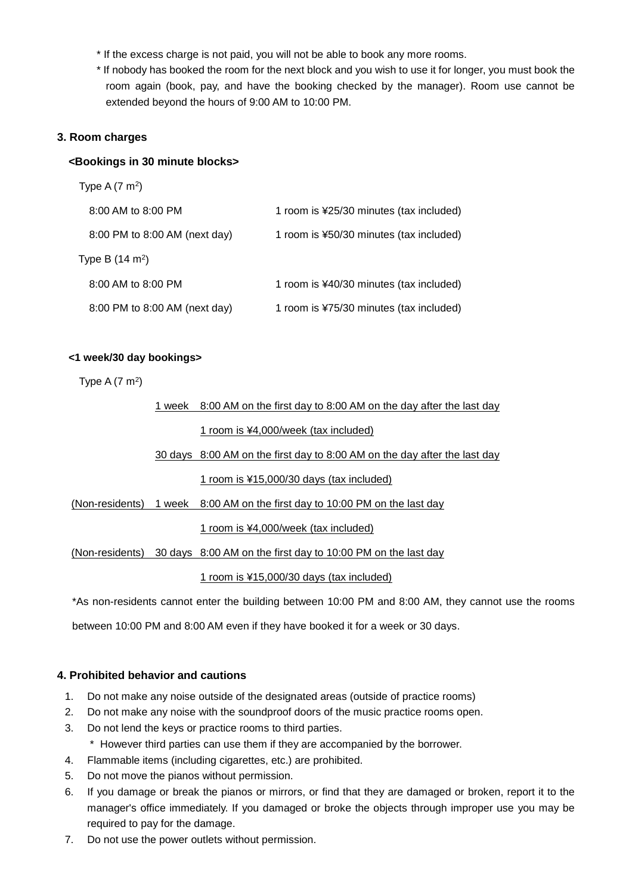- \* If the excess charge is not paid, you will not be able to book any more rooms.
- \* If nobody has booked the room for the next block and you wish to use it for longer, you must book the room again (book, pay, and have the booking checked by the manager). Room use cannot be extended beyond the hours of 9:00 AM to 10:00 PM.

#### **3. Room charges**

#### **<Bookings in 30 minute blocks>**

| Type A $(7 \text{ m}^2)$      |                                         |
|-------------------------------|-----------------------------------------|
| 8:00 AM to 8:00 PM            | 1 room is ¥25/30 minutes (tax included) |
| 8:00 PM to 8:00 AM (next day) | 1 room is ¥50/30 minutes (tax included) |
| Type B $(14 \text{ m}^2)$     |                                         |
| 8:00 AM to 8:00 PM            | 1 room is ¥40/30 minutes (tax included) |
| 8:00 PM to 8:00 AM (next day) | 1 room is ¥75/30 minutes (tax included) |

#### **<1 week/30 day bookings>**

Type A  $(7 \text{ m}^2)$ 

1 week 8:00 AM on the first day to 8:00 AM on the day after the last day

#### 1 room is ¥4,000/week (tax included)

30 days 8:00 AM on the first day to 8:00 AM on the day after the last day

#### 1 room is ¥15,000/30 days (tax included)

(Non-residents) 1 week 8:00 AM on the first day to 10:00 PM on the last day

1 room is ¥4,000/week (tax included)

(Non-residents) 30 days 8:00 AM on the first day to 10:00 PM on the last day

1 room is ¥15,000/30 days (tax included)

\*As non-residents cannot enter the building between 10:00 PM and 8:00 AM, they cannot use the rooms

between 10:00 PM and 8:00 AM even if they have booked it for a week or 30 days.

#### **4. Prohibited behavior and cautions**

- 1. Do not make any noise outside of the designated areas (outside of practice rooms)
- 2. Do not make any noise with the soundproof doors of the music practice rooms open.
- 3. Do not lend the keys or practice rooms to third parties.
- \* However third parties can use them if they are accompanied by the borrower.
- 4. Flammable items (including cigarettes, etc.) are prohibited.
- 5. Do not move the pianos without permission.
- 6. If you damage or break the pianos or mirrors, or find that they are damaged or broken, report it to the manager's office immediately. If you damaged or broke the objects through improper use you may be required to pay for the damage.
- 7. Do not use the power outlets without permission.